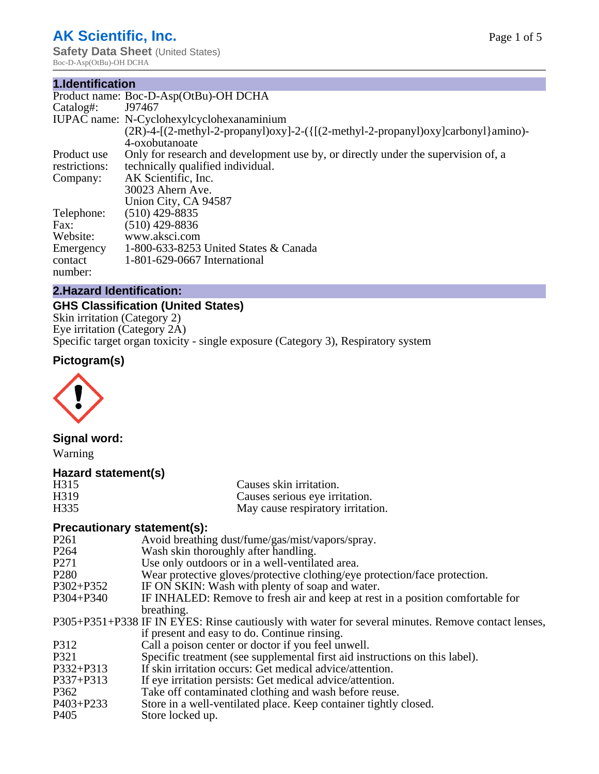# **AK Scientific, Inc.**

**Safety Data Sheet** (United States) Boc-D-Asp(OtBu)-OH DCHA

#### **1.Identification**

|               | Product name: Boc-D-Asp(OtBu)-OH DCHA                                             |
|---------------|-----------------------------------------------------------------------------------|
| Catalog#:     | J97467                                                                            |
|               | IUPAC name: N-Cyclohexylcyclohexanaminium                                         |
|               | $(2R)-4-[2-methyl-2-propanyl)oxyl-2-({[(2-methyl-2-propanyl)oxy]carbonyl}amino)$  |
|               | 4-oxobutanoate                                                                    |
| Product use   | Only for research and development use by, or directly under the supervision of, a |
| restrictions: | technically qualified individual.                                                 |
| Company:      | AK Scientific, Inc.                                                               |
|               | 30023 Ahern Ave.                                                                  |
|               | Union City, CA 94587                                                              |
| Telephone:    | $(510)$ 429-8835                                                                  |
| Fax:          | $(510)$ 429-8836                                                                  |
| Website:      | www.aksci.com                                                                     |
| Emergency     | 1-800-633-8253 United States $& Canada$                                           |
| contact       | 1-801-629-0667 International                                                      |
| number:       |                                                                                   |
|               |                                                                                   |

# **2.Hazard Identification:**

# **GHS Classification (United States)**

Skin irritation (Category 2) Eye irritation (Category 2A) Specific target organ toxicity - single exposure (Category 3), Respiratory system

# **Pictogram(s)**



# **Signal word:**

Warning

#### **Hazard statement(s)**

| H315 | Causes skin irritation.           |
|------|-----------------------------------|
| H319 | Causes serious eye irritation.    |
| H335 | May cause respiratory irritation. |

# **Precautionary statement(s):**

| P <sub>261</sub> | Avoid breathing dust/fume/gas/mist/vapors/spray.                                                   |
|------------------|----------------------------------------------------------------------------------------------------|
| P <sub>264</sub> | Wash skin thoroughly after handling.                                                               |
| P <sub>271</sub> | Use only outdoors or in a well-ventilated area.                                                    |
| P <sub>280</sub> | Wear protective gloves/protective clothing/eye protection/face protection.                         |
| P302+P352        | IF ON SKIN: Wash with plenty of soap and water.                                                    |
| $P304 + P340$    | IF INHALED: Remove to fresh air and keep at rest in a position comfortable for                     |
|                  | breathing.                                                                                         |
|                  | P305+P351+P338 IF IN EYES: Rinse cautiously with water for several minutes. Remove contact lenses, |
|                  | if present and easy to do. Continue rinsing.                                                       |
| P312             | Call a poison center or doctor if you feel unwell.                                                 |
| P321             | Specific treatment (see supplemental first aid instructions on this label).                        |
| P332+P313        | If skin irritation occurs: Get medical advice/attention.                                           |
| P337+P313        | If eye irritation persists: Get medical advice/attention.                                          |
| P362             | Take off contaminated clothing and wash before reuse.                                              |
| $P403 + P233$    | Store in a well-ventilated place. Keep container tightly closed.                                   |
| P405             | Store locked up.                                                                                   |
|                  |                                                                                                    |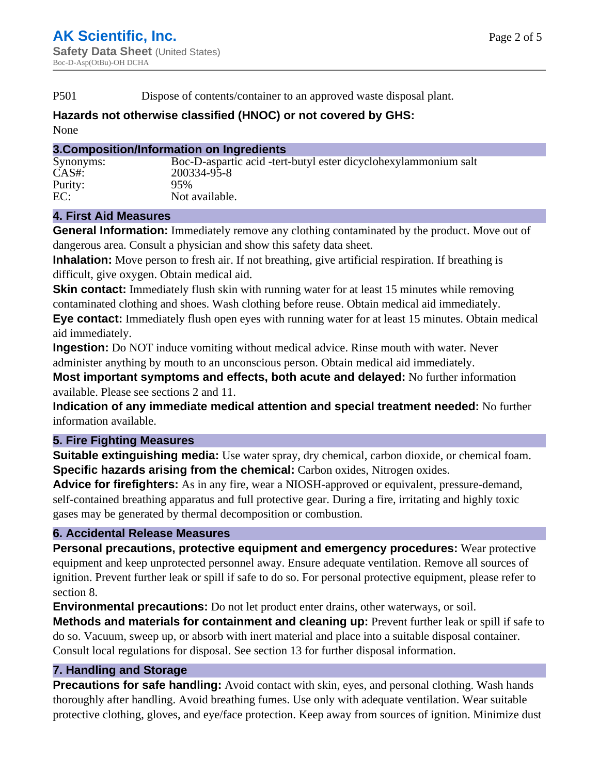P501 Dispose of contents/container to an approved waste disposal plant.

# **Hazards not otherwise classified (HNOC) or not covered by GHS:**

None

#### **3.Composition/Information on Ingredients**

| Synonyms: | Boc-D-aspartic acid -tert-butyl ester dicyclohexylammonium salt |
|-----------|-----------------------------------------------------------------|
| $CAS#$ :  | 200334-95-8                                                     |
| Purity:   | 95%                                                             |
| EC:       | Not available.                                                  |

#### **4. First Aid Measures**

**General Information:** Immediately remove any clothing contaminated by the product. Move out of dangerous area. Consult a physician and show this safety data sheet.

**Inhalation:** Move person to fresh air. If not breathing, give artificial respiration. If breathing is difficult, give oxygen. Obtain medical aid.

**Skin contact:** Immediately flush skin with running water for at least 15 minutes while removing contaminated clothing and shoes. Wash clothing before reuse. Obtain medical aid immediately. **Eye contact:** Immediately flush open eyes with running water for at least 15 minutes. Obtain medical

aid immediately.

**Ingestion:** Do NOT induce vomiting without medical advice. Rinse mouth with water. Never administer anything by mouth to an unconscious person. Obtain medical aid immediately.

**Most important symptoms and effects, both acute and delayed:** No further information available. Please see sections 2 and 11.

**Indication of any immediate medical attention and special treatment needed:** No further information available.

# **5. Fire Fighting Measures**

**Suitable extinguishing media:** Use water spray, dry chemical, carbon dioxide, or chemical foam. **Specific hazards arising from the chemical:** Carbon oxides, Nitrogen oxides.

**Advice for firefighters:** As in any fire, wear a NIOSH-approved or equivalent, pressure-demand, self-contained breathing apparatus and full protective gear. During a fire, irritating and highly toxic gases may be generated by thermal decomposition or combustion.

# **6. Accidental Release Measures**

**Personal precautions, protective equipment and emergency procedures:** Wear protective equipment and keep unprotected personnel away. Ensure adequate ventilation. Remove all sources of ignition. Prevent further leak or spill if safe to do so. For personal protective equipment, please refer to section 8.

**Environmental precautions:** Do not let product enter drains, other waterways, or soil.

**Methods and materials for containment and cleaning up:** Prevent further leak or spill if safe to do so. Vacuum, sweep up, or absorb with inert material and place into a suitable disposal container. Consult local regulations for disposal. See section 13 for further disposal information.

# **7. Handling and Storage**

**Precautions for safe handling:** Avoid contact with skin, eyes, and personal clothing. Wash hands thoroughly after handling. Avoid breathing fumes. Use only with adequate ventilation. Wear suitable protective clothing, gloves, and eye/face protection. Keep away from sources of ignition. Minimize dust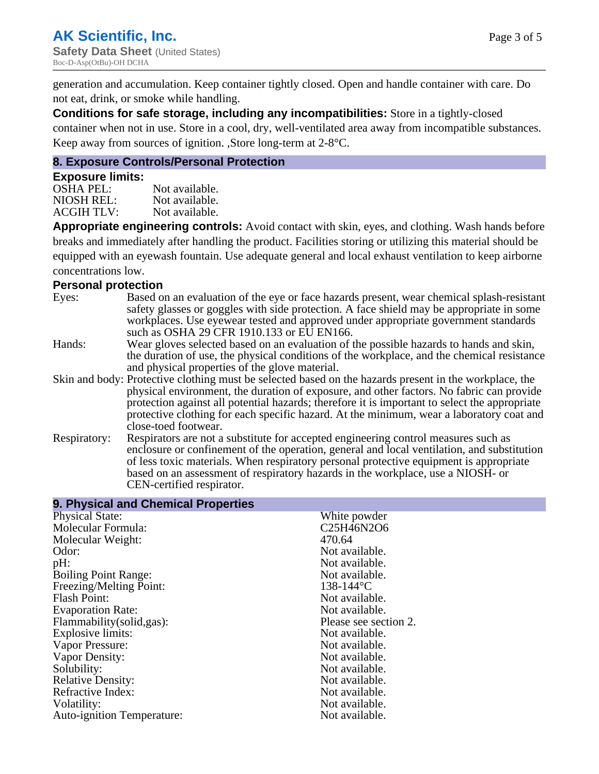generation and accumulation. Keep container tightly closed. Open and handle container with care. Do not eat, drink, or smoke while handling.

**Conditions for safe storage, including any incompatibilities:** Store in a tightly-closed container when not in use. Store in a cool, dry, well-ventilated area away from incompatible substances. Keep away from sources of ignition. ,Store long-term at 2-8°C.

#### **8. Exposure Controls/Personal Protection**

#### **Exposure limits:**

| <b>OSHA PEL:</b>  | Not available. |
|-------------------|----------------|
| NIOSH REL:        | Not available. |
| <b>ACGIH TLV:</b> | Not available. |

**Appropriate engineering controls:** Avoid contact with skin, eyes, and clothing. Wash hands before breaks and immediately after handling the product. Facilities storing or utilizing this material should be equipped with an eyewash fountain. Use adequate general and local exhaust ventilation to keep airborne concentrations low.

#### **Personal protection**

| . טוסטוטו או טוסטוס |                                                                                                                                                                                                                                                                                                                                                                                                                         |
|---------------------|-------------------------------------------------------------------------------------------------------------------------------------------------------------------------------------------------------------------------------------------------------------------------------------------------------------------------------------------------------------------------------------------------------------------------|
| Eyes:               | Based on an evaluation of the eye or face hazards present, wear chemical splash-resistant<br>safety glasses or goggles with side protection. A face shield may be appropriate in some<br>workplaces. Use eyewear tested and approved under appropriate government standards<br>such as OSHA 29 CFR 1910.133 or EU EN166.                                                                                                |
| Hands:              | Wear gloves selected based on an evaluation of the possible hazards to hands and skin,<br>the duration of use, the physical conditions of the workplace, and the chemical resistance<br>and physical properties of the glove material.                                                                                                                                                                                  |
|                     | Skin and body: Protective clothing must be selected based on the hazards present in the workplace, the<br>physical environment, the duration of exposure, and other factors. No fabric can provide<br>protection against all potential hazards; therefore it is important to select the appropriate<br>protective clothing for each specific hazard. At the minimum, wear a laboratory coat and<br>close-toed footwear. |
| Respiratory:        | Respirators are not a substitute for accepted engineering control measures such as<br>enclosure or confinement of the operation, general and local ventilation, and substitution<br>of less toxic materials. When respiratory personal protective equipment is appropriate<br>based on an assessment of respiratory hazards in the workplace, use a NIOSH- or<br>CEN-certified respirator.                              |

| White powder          |
|-----------------------|
| C25H46N2O6            |
| 470.64                |
| Not available.        |
| Not available.        |
| Not available.        |
| $138 - 144$ °C        |
| Not available.        |
| Not available.        |
| Please see section 2. |
| Not available.        |
| Not available.        |
| Not available.        |
| Not available.        |
| Not available.        |
| Not available.        |
| Not available.        |
| Not available.        |
|                       |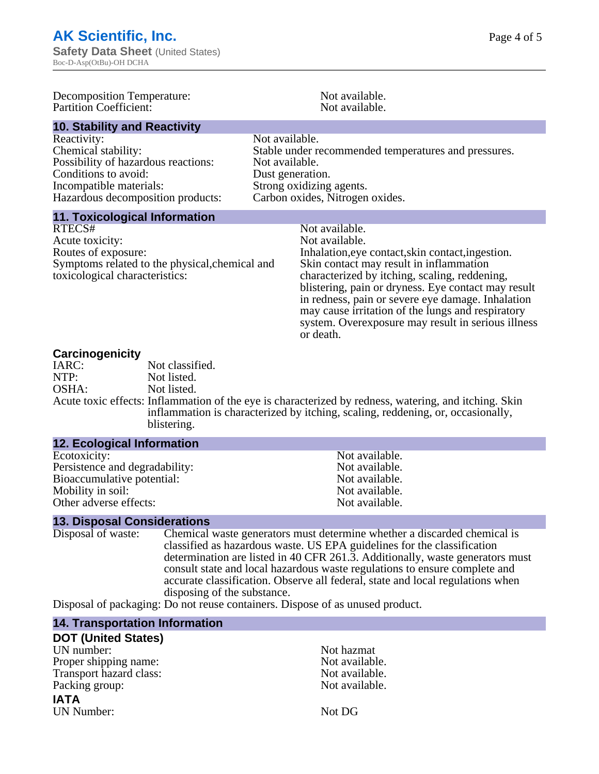| <b>Decomposition Temperature:</b><br><b>Partition Coefficient:</b>                                                                                                | Not available.<br>Not available.                                                                                                                                                                                                                                                                                                                                                                                      |
|-------------------------------------------------------------------------------------------------------------------------------------------------------------------|-----------------------------------------------------------------------------------------------------------------------------------------------------------------------------------------------------------------------------------------------------------------------------------------------------------------------------------------------------------------------------------------------------------------------|
| <b>10. Stability and Reactivity</b>                                                                                                                               |                                                                                                                                                                                                                                                                                                                                                                                                                       |
| Reactivity:<br>Chemical stability:<br>Possibility of hazardous reactions:<br>Conditions to avoid:<br>Incompatible materials:<br>Hazardous decomposition products: | Not available.<br>Stable under recommended temperatures and pressures.<br>Not available.<br>Dust generation.<br>Strong oxidizing agents.<br>Carbon oxides, Nitrogen oxides.                                                                                                                                                                                                                                           |
| <b>11. Toxicological Information</b>                                                                                                                              |                                                                                                                                                                                                                                                                                                                                                                                                                       |
| RTECS#<br>Acute toxicity:<br>Routes of exposure:<br>Symptoms related to the physical, chemical and<br>toxicological characteristics:                              | Not available.<br>Not available.<br>Inhalation, eye contact, skin contact, ingestion.<br>Skin contact may result in inflammation<br>characterized by itching, scaling, reddening,<br>blistering, pain or dryness. Eye contact may result<br>in redness, pain or severe eye damage. Inhalation<br>may cause irritation of the lungs and respiratory<br>system. Overexposure may result in serious illness<br>or death. |
| <b>Carcinogenicity</b>                                                                                                                                            |                                                                                                                                                                                                                                                                                                                                                                                                                       |

#### **Carcinogenicity**

**12. Ecological Information**

| $-$   |                                                                                                       |
|-------|-------------------------------------------------------------------------------------------------------|
| IARC: | Not classified.                                                                                       |
| NTP:  | Not listed.                                                                                           |
| OSHA: | Not listed.                                                                                           |
|       | Acute toxic effects: Inflammation of the eye is characterized by redness, watering, and itching. Skin |
|       | inflammation is characterized by itching, scaling, reddening, or, occasionally,                       |
|       | blistering.                                                                                           |

| <b>12. ECOlogical Information</b> |                |
|-----------------------------------|----------------|
| Ecotoxicity:                      | Not available. |
| Persistence and degradability:    | Not available. |
| Bioaccumulative potential:        | Not available. |
| Mobility in soil:                 | Not available. |
| Other adverse effects:            | Not available. |

**13. Disposal Considerations** Chemical waste generators must determine whether a discarded chemical is classified as hazardous waste. US EPA guidelines for the classification determination are listed in 40 CFR 261.3. Additionally, waste generators must consult state and local hazardous waste regulations to ensure complete and accurate classification. Observe all federal, state and local regulations when disposing of the substance.

Disposal of packaging: Do not reuse containers. Dispose of as unused product.

### **14. Transportation Information**

| <b>DOT (United States)</b> |                |
|----------------------------|----------------|
| UN number:                 | Not hazmat     |
| Proper shipping name:      | Not available. |
| Transport hazard class:    | Not available. |
| Packing group:             | Not available. |
| <b>IATA</b>                |                |
| UN Number:                 | Not DG         |